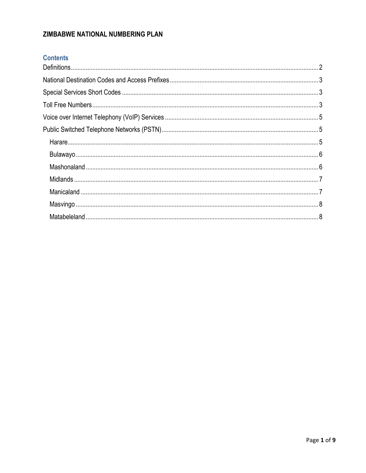# ZIMBABWE NATIONAL NUMBERING PLAN

# **Contents**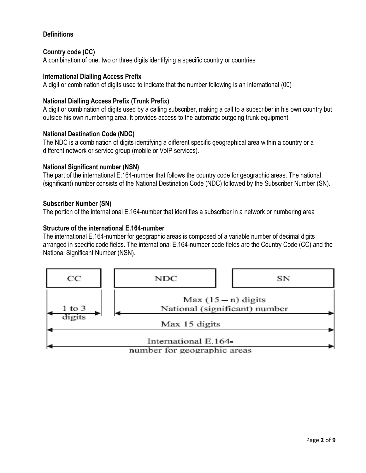### <span id="page-1-0"></span>**Definitions**

#### **Country code (CC)**

A combination of one, two or three digits identifying a specific country or countries

#### **International Dialling Access Prefix**

A digit or combination of digits used to indicate that the number following is an international (00)

### **National Dialling Access Prefix (Trunk Prefix)**

A digit or combination of digits used by a calling subscriber, making a call to a subscriber in his own country but outside his own numbering area. It provides access to the automatic outgoing trunk equipment.

#### **National Destination Code (NDC)**

The NDC is a combination of digits identifying a different specific geographical area within a country or a different network or service group (mobile or VoIP services).

#### **National Significant number (NSN)**

The part of the international E.164-number that follows the country code for geographic areas. The national (significant) number consists of the National Destination Code (NDC) followed by the Subscriber Number (SN).

#### **Subscriber Number (SN)**

The portion of the international E.164-number that identifies a subscriber in a network or numbering area

#### **Structure of the international E.164-number**

The international E.164-number for geographic areas is composed of a variable number of decimal digits arranged in specific code fields. The international E.164-number code fields are the Country Code (CC) and the National Significant Number (NSN).

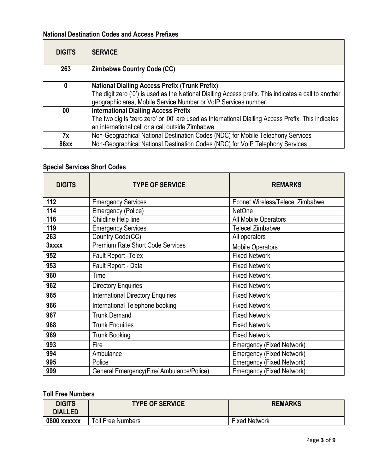# <span id="page-2-0"></span>**National Destination Codes and Access Prefixes**

| <b>DIGITS</b> | <b>SERVICE</b>                                                                                        |
|---------------|-------------------------------------------------------------------------------------------------------|
| 263           | <b>Zimbabwe Country Code (CC)</b>                                                                     |
| 0             | <b>National Dialling Access Prefix (Trunk Prefix)</b>                                                 |
|               | The digit zero ('0') is used as the National Dialling Access prefix. This indicates a call to another |
|               | geographic area, Mobile Service Number or VoIP Services number.                                       |
| $00\,$        | <b>International Dialling Access Prefix</b>                                                           |
|               | The two digits 'zero zero' or '00' are used as International Dialling Access Prefix. This indicates   |
|               | an international call or a call outside Zimbabwe.                                                     |
| 7x            | Non-Geographical National Destination Codes (NDC) for Mobile Telephony Services                       |
| <b>86xx</b>   | Non-Geographical National Destination Codes (NDC) for VoIP Telephony Services                         |

# <span id="page-2-1"></span>**Special Services Short Codes**

| <b>DIGITS</b> | <b>TYPE OF SERVICE</b>                     | <b>REMARKS</b>                          |
|---------------|--------------------------------------------|-----------------------------------------|
| 112           | <b>Emergency Services</b>                  | <b>Econet Wireless/Telecel Zimbabwe</b> |
| 114           | Emergency (Police)                         | <b>NetOne</b>                           |
| 116           | Childline Help line                        | All Mobile Operators                    |
| 119           | <b>Emergency Services</b>                  | <b>Telecel Zimbabwe</b>                 |
| 263           | Country Code(CC)                           | All operators                           |
| 3xxxx         | <b>Premium Rate Short Code Services</b>    | <b>Mobile Operators</b>                 |
| 952           | Fault Report - Telex                       | <b>Fixed Network</b>                    |
| 953           | Fault Report - Data                        | <b>Fixed Network</b>                    |
| 960           | Time                                       | <b>Fixed Network</b>                    |
| 962           | <b>Directory Enquiries</b>                 | <b>Fixed Network</b>                    |
| 965           | <b>International Directory Enquiries</b>   | <b>Fixed Network</b>                    |
| 966           | International Telephone booking            | <b>Fixed Network</b>                    |
| 967           | <b>Trunk Demand</b>                        | <b>Fixed Network</b>                    |
| 968           | <b>Trunk Enquiries</b>                     | <b>Fixed Network</b>                    |
| 969           | <b>Trunk Booking</b>                       | <b>Fixed Network</b>                    |
| 993           | Fire                                       | <b>Emergency (Fixed Network)</b>        |
| 994           | Ambulance                                  | <b>Emergency (Fixed Network)</b>        |
| 995           | Police                                     | <b>Emergency (Fixed Network)</b>        |
| 999           | General Emergency (Fire/ Ambulance/Police) | <b>Emergency (Fixed Network)</b>        |

# <span id="page-2-2"></span>**Toll Free Numbers**

| <b>DIGITS</b><br>DIALLED | <b>TYPE OF SERVICE</b>   | <b>REMARKS</b>       |
|--------------------------|--------------------------|----------------------|
| 0800 xxxxxx              | <b>Toll Free Numbers</b> | <b>Fixed Network</b> |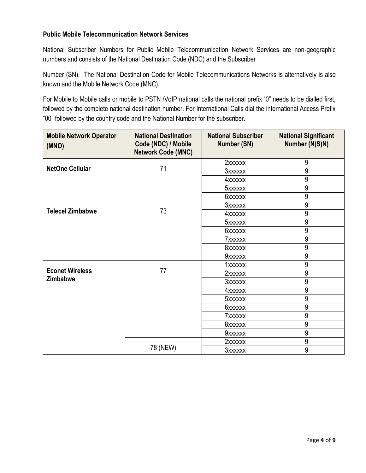### **Public Mobile Telecommunication Network Services**

National Subscriber Numbers for Public Mobile Telecommunication Network Services are non-geographic numbers and consists of the National Destination Code (NDC) and the Subscriber

Number (SN). The National Destination Code for Mobile Telecommunications Networks is alternatively is also known and the Mobile Network Code (MNC).

For Mobile to Mobile calls or mobile to PSTN /VoIP national calls the national prefix "0" needs to be dialled first, followed by the complete national destination number. For International Calls dial the international Access Prefix "00" followed by the country code and the National Number for the subscriber.

<span id="page-3-0"></span>

| <b>Mobile Network Operator</b><br>(MNO) | <b>National Destination</b><br>Code (NDC) / Mobile<br><b>Network Code (MNC)</b> | <b>National Subscriber</b><br>Number (SN) | <b>National Significant</b><br>Number (N(S)N) |
|-----------------------------------------|---------------------------------------------------------------------------------|-------------------------------------------|-----------------------------------------------|
|                                         |                                                                                 | 2xxxxxx                                   | 9                                             |
| <b>NetOne Cellular</b>                  | 71                                                                              | <b>3xxxxxx</b>                            | 9                                             |
|                                         |                                                                                 | 4xxxxxx                                   | 9                                             |
|                                         |                                                                                 | 5xxxxxx                                   | 9                                             |
|                                         |                                                                                 | 6xxxxxx                                   | 9                                             |
|                                         |                                                                                 | <b>3xxxxxx</b>                            | 9                                             |
| <b>Telecel Zimbabwe</b>                 | 73                                                                              | 4xxxxxx                                   | 9                                             |
|                                         |                                                                                 | 5xxxxxx                                   | 9                                             |
|                                         |                                                                                 | <b>6xxxxxx</b>                            | $\overline{9}$                                |
|                                         |                                                                                 | 7xxxxxx                                   | 9                                             |
|                                         |                                                                                 | 8xxxxxx                                   | 9                                             |
|                                         |                                                                                 | 9xxxxxx                                   | 9                                             |
|                                         |                                                                                 | 1xxxxxx                                   | 9                                             |
| <b>Econet Wireless</b>                  | 77                                                                              | 2xxxxxx                                   | 9                                             |
| <b>Zimbabwe</b>                         |                                                                                 | <b>3xxxxxx</b>                            | 9                                             |
|                                         |                                                                                 | 4xxxxxx                                   | 9                                             |
|                                         |                                                                                 | 5xxxxxx                                   | 9                                             |
|                                         |                                                                                 | <b>6xxxxxx</b>                            | 9                                             |
|                                         |                                                                                 | 7xxxxxx                                   | 9                                             |
|                                         |                                                                                 | 8xxxxxx                                   | 9                                             |
|                                         |                                                                                 | 9xxxxxx                                   | 9                                             |
|                                         |                                                                                 | 2xxxxxx                                   | 9                                             |
|                                         | 78 (NEW)                                                                        | 3xxxxxx                                   | 9                                             |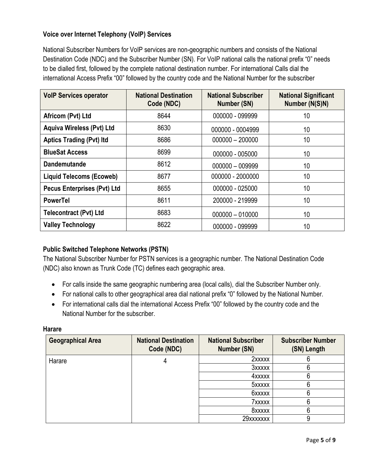## **Voice over Internet Telephony (VoIP) Services**

National Subscriber Numbers for VoIP services are non-geographic numbers and consists of the National Destination Code (NDC) and the Subscriber Number (SN). For VoIP national calls the national prefix "0" needs to be dialled first, followed by the complete national destination number. For international Calls dial the international Access Prefix "00" followed by the country code and the National Number for the subscriber

| <b>VoIP Services operator</b>      | <b>National Destination</b><br>Code (NDC) | <b>National Subscriber</b><br>Number (SN) | <b>National Significant</b><br>Number (N(S)N) |
|------------------------------------|-------------------------------------------|-------------------------------------------|-----------------------------------------------|
| Africom (Pvt) Ltd                  | 8644                                      | 000000 - 099999                           | 10                                            |
| <b>Aquiva Wireless (Pvt) Ltd</b>   | 8630                                      | 000000 - 0004999                          | 10                                            |
| <b>Aptics Trading (Pvt) Itd</b>    | 8686                                      | $000000 - 200000$                         | 10                                            |
| <b>BlueSat Access</b>              | 8699                                      | 000000 - 005000                           | 10                                            |
| <b>Dandemutande</b>                | 8612                                      | 000000 - 009999                           | 10                                            |
| <b>Liquid Telecoms (Ecoweb)</b>    | 8677                                      | 000000 - 2000000                          | 10                                            |
| <b>Pecus Enterprises (Pvt) Ltd</b> | 8655                                      | 000000 - 025000                           | 10                                            |
| <b>PowerTel</b>                    | 8611                                      | 200000 - 219999                           | 10                                            |
| <b>Telecontract (Pvt) Ltd</b>      | 8683                                      | $000000 - 010000$                         | 10                                            |
| <b>Valley Technology</b>           | 8622                                      | 000000 - 099999                           | 10                                            |

### <span id="page-4-0"></span>**Public Switched Telephone Networks (PSTN)**

The National Subscriber Number for PSTN services is a geographic number. The National Destination Code (NDC) also known as Trunk Code (TC) defines each geographic area.

- For calls inside the same geographic numbering area (local calls), dial the Subscriber Number only.
- <span id="page-4-1"></span>For national calls to other geographical area dial national prefix "0" followed by the National Number.
- For international calls dial the international Access Prefix "00" followed by the country code and the National Number for the subscriber.

#### **Harare**

| <b>Geographical Area</b> | <b>National Destination</b><br>Code (NDC) | <b>National Subscriber</b><br><b>Number (SN)</b> | <b>Subscriber Number</b><br>(SN) Length |
|--------------------------|-------------------------------------------|--------------------------------------------------|-----------------------------------------|
| Harare                   |                                           | 2xxxxx                                           | n                                       |
|                          |                                           | 3xxxxx                                           | 6                                       |
|                          |                                           | 4xxxxx                                           | 6                                       |
|                          |                                           | 5xxxxx                                           | 6                                       |
|                          |                                           | 6xxxxx                                           | 6                                       |
|                          |                                           | 7xxxxx                                           | 6                                       |
|                          |                                           | 8xxxxx                                           | 6                                       |
|                          |                                           | 29xxxxxxx                                        | 9                                       |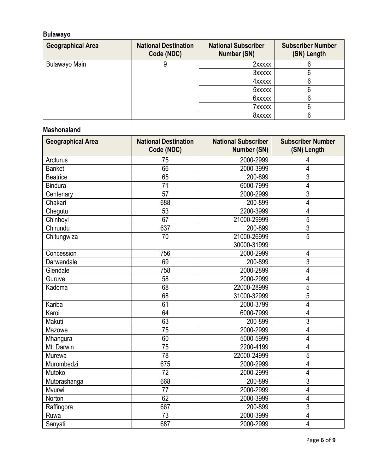# <span id="page-5-0"></span>**Bulawayo**

| <b>Geographical Area</b> | <b>National Destination</b><br>Code (NDC) | <b>National Subscriber</b><br><b>Number (SN)</b> | <b>Subscriber Number</b><br>(SN) Length |
|--------------------------|-------------------------------------------|--------------------------------------------------|-----------------------------------------|
| Bulawayo Main            |                                           | 2xxxxx                                           | n                                       |
|                          |                                           | 3xxxxx                                           | 6                                       |
|                          |                                           | 4xxxxx                                           | 6                                       |
|                          |                                           | 5xxxxx                                           | 6                                       |
|                          |                                           | <b>6xxxxx</b>                                    | 6                                       |
|                          |                                           | 7xxxxx                                           |                                         |
|                          |                                           | 8xxxxx                                           |                                         |

## <span id="page-5-1"></span>**Mashonaland**

| <b>Geographical Area</b> | <b>National Destination</b><br>Code (NDC) | <b>National Subscriber</b><br><b>Number (SN)</b> | <b>Subscriber Number</b><br>(SN) Length |
|--------------------------|-------------------------------------------|--------------------------------------------------|-----------------------------------------|
| Arcturus                 | 75                                        | 2000-2999                                        | 4                                       |
| <b>Banket</b>            | 66                                        | 2000-3999                                        | 4                                       |
| <b>Beatrice</b>          | 65                                        | 200-899                                          | 3                                       |
| <b>Bindura</b>           | $\overline{71}$                           | 6000-7999                                        | $\overline{4}$                          |
| Centenary                | 57                                        | 2000-2999                                        | $\overline{3}$                          |
| Chakari                  | 688                                       | 200-899                                          | 4                                       |
| Chegutu                  | 53                                        | 2200-3999                                        | $\overline{4}$                          |
| Chinhoyi                 | 67                                        | 21000-29999                                      | 5                                       |
| Chirundu                 | 637                                       | 200-899                                          | $\overline{3}$                          |
| Chitungwiza              | $\overline{70}$                           | 21000-26999                                      | $\overline{5}$                          |
|                          |                                           | 30000-31999                                      |                                         |
| Concession               | 756                                       | 2000-2999                                        | $\overline{4}$                          |
| Darwendale               | 69                                        | 200-899                                          | $\overline{3}$                          |
| Glendale                 | 758                                       | 2000-2899                                        | 4                                       |
| Guruve                   | 58                                        | 2000-2999                                        | 4                                       |
| Kadoma                   | 68                                        | 22000-28999                                      | 5                                       |
|                          | 68                                        | 31000-32999                                      | 5                                       |
| Kariba                   | 61                                        | 2000-3799                                        | 4                                       |
| Karoi                    | 64                                        | 6000-7999                                        | 4                                       |
| Makuti                   | 63                                        | 200-899                                          | $\overline{3}$                          |
| Mazowe                   | 75                                        | 2000-2999                                        | 4                                       |
| Mhangura                 | 60                                        | 5000-5999                                        | 4                                       |
| Mt. Darwin               | $\overline{75}$                           | 2200-4199                                        | 4                                       |
| Murewa                   | 78                                        | 22000-24999                                      | $\overline{5}$                          |
| Murombedzi               | 675                                       | 2000-2999                                        | $\overline{4}$                          |
| Mutoko                   | $\overline{72}$                           | 2000-2999                                        | 4                                       |
| Mutorashanga             | 668                                       | 200-899                                          | 3                                       |
| Mvurwi                   | 77                                        | 2000-2999                                        | 4                                       |
| Norton                   | 62                                        | 2000-3999                                        | 4                                       |
| Raffingora               | 667                                       | 200-899                                          | $\overline{3}$                          |
| Ruwa                     | 73                                        | 2000-3999                                        | 4                                       |
| Sanyati                  | 687                                       | 2000-2999                                        | 4                                       |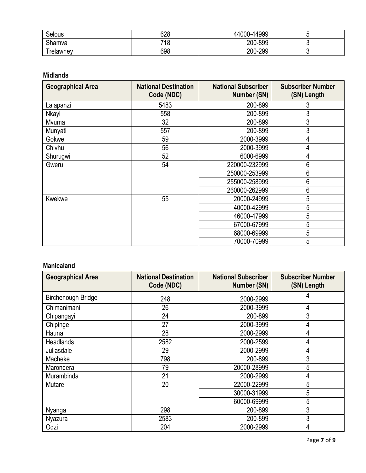| Selous   | 628 | 44000-44999 |    |
|----------|-----|-------------|----|
| Shamva   | 718 | 200-899     |    |
| relawney | 698 | 200-299     | ъ. |

#### <span id="page-6-0"></span>**Midlands**

| <b>Geographical Area</b> | <b>National Destination</b><br>Code (NDC) | <b>National Subscriber</b><br><b>Number (SN)</b> | <b>Subscriber Number</b><br>(SN) Length |
|--------------------------|-------------------------------------------|--------------------------------------------------|-----------------------------------------|
| Lalapanzi                | 5483                                      | 200-899                                          | 3                                       |
| Nkayi                    | 558                                       | 200-899                                          | 3                                       |
| Mvuma                    | 32                                        | 200-899                                          | 3                                       |
| Munyati                  | 557                                       | 200-899                                          | 3                                       |
| Gokwe                    | 59                                        | 2000-3999                                        | 4                                       |
| Chivhu                   | 56                                        | 2000-3999                                        | 4                                       |
| Shurugwi                 | 52                                        | 6000-6999                                        | 4                                       |
| Gweru                    | 54                                        | 220000-232999                                    | 6                                       |
|                          |                                           | 250000-253999                                    | 6                                       |
|                          |                                           | 255000-258999                                    | 6                                       |
|                          |                                           | 260000-262999                                    | 6                                       |
| <b>Kwekwe</b>            | 55                                        | 20000-24999                                      | 5                                       |
|                          |                                           | 40000-42999                                      | 5                                       |
|                          |                                           | 46000-47999                                      | 5                                       |
|                          |                                           | 67000-67999                                      | 5                                       |
|                          |                                           | 68000-69999                                      | 5                                       |
|                          |                                           | 70000-70999                                      | 5                                       |

# <span id="page-6-1"></span>**Manicaland**

| <b>Geographical Area</b>  | <b>National Destination</b><br>Code (NDC) | <b>National Subscriber</b><br>Number (SN) | <b>Subscriber Number</b><br>(SN) Length |
|---------------------------|-------------------------------------------|-------------------------------------------|-----------------------------------------|
| <b>Birchenough Bridge</b> | 248                                       | 2000-2999                                 | 4                                       |
| Chimanimani               | 26                                        | 2000-3999                                 | 4                                       |
| Chipangayi                | 24                                        | 200-899                                   | 3                                       |
| Chipinge                  | 27                                        | 2000-3999                                 | 4                                       |
| Hauna                     | 28                                        | 2000-2999                                 | 4                                       |
| <b>Headlands</b>          | 2582                                      | 2000-2599                                 | 4                                       |
| Juliasdale                | 29                                        | 2000-2999                                 | 4                                       |
| Macheke                   | 798                                       | 200-899                                   | 3                                       |
| Marondera                 | 79                                        | 20000-28999                               | 5                                       |
| Murambinda                | 21                                        | 2000-2999                                 | 4                                       |
| Mutare                    | 20                                        | 22000-22999                               | 5                                       |
|                           |                                           | 30000-31999                               | 5                                       |
|                           |                                           | 60000-69999                               | 5                                       |
| Nyanga                    | 298                                       | 200-899                                   | 3                                       |
| Nyazura                   | 2583                                      | 200-899                                   | 3                                       |
| Odzi                      | 204                                       | 2000-2999                                 | 4                                       |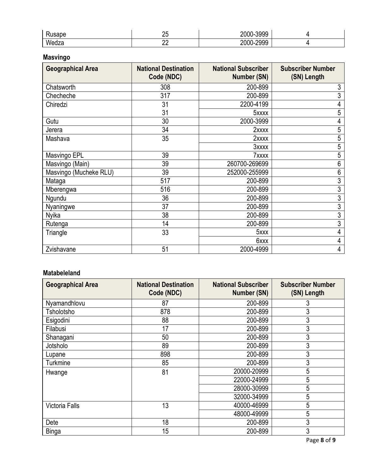| $-1 - 1 - 1$<br>sabe | ~-<br>⊷   | -3999<br>ากกก<br>.        |  |
|----------------------|-----------|---------------------------|--|
| Wedza                | nr.<br>__ | .2000<br>ነስስሲ<br>.<br>200 |  |

# <span id="page-7-0"></span>**Masvingo**

| <b>Geographical Area</b> | <b>National Destination</b><br>Code (NDC) | <b>National Subscriber</b><br><b>Number (SN)</b> | <b>Subscriber Number</b><br>(SN) Length |
|--------------------------|-------------------------------------------|--------------------------------------------------|-----------------------------------------|
| Chatsworth               | 308                                       | 200-899                                          | 3                                       |
| Checheche                | 317                                       | 200-899                                          | 3                                       |
| Chiredzi                 | 31                                        | 2200-4199                                        | 4                                       |
|                          | 31                                        | 5xxxx                                            | 5                                       |
| Gutu                     | 30                                        | 2000-3999                                        | 4                                       |
| Jerera                   | 34                                        | 2xxxx                                            | 5                                       |
| Mashava                  | 35                                        | 2xxxx                                            | 5                                       |
|                          |                                           | 3xxxx                                            | 5                                       |
| Masvingo EPL             | 39                                        | 7xxxx                                            | 5                                       |
| Masvingo (Main)          | 39                                        | 260700-269699                                    | $6\,$                                   |
| Masvingo (Mucheke RLU)   | 39                                        | 252000-255999                                    | $6\,$                                   |
| Mataga                   | 517                                       | 200-899                                          | $\overline{3}$                          |
| Mberengwa                | 516                                       | 200-899                                          | 3                                       |
| Ngundu                   | 36                                        | 200-899                                          | 3                                       |
| Nyaningwe                | 37                                        | 200-899                                          | 3                                       |
| Nyika                    | 38                                        | 200-899                                          | 3                                       |
| Rutenga                  | 14                                        | 200-899                                          | 3                                       |
| Triangle                 | 33                                        | 5xxx                                             | 4                                       |
|                          |                                           | 6xxx                                             | 4                                       |
| Zvishavane               | 51                                        | 2000-4999                                        | 4                                       |

# <span id="page-7-1"></span>**Matabeleland**

| <b>Geographical Area</b> | <b>National Destination</b><br>Code (NDC) | <b>National Subscriber</b><br>Number (SN) | <b>Subscriber Number</b><br>(SN) Length |
|--------------------------|-------------------------------------------|-------------------------------------------|-----------------------------------------|
| Nyamandhlovu             | 87                                        | 200-899                                   | 3                                       |
| Tsholotsho               | 878                                       | 200-899                                   | 3                                       |
| Esigodini                | 88                                        | 200-899                                   | 3                                       |
| Filabusi                 | 17                                        | 200-899                                   | 3                                       |
| Shanagani                | 50                                        | 200-899                                   | 3                                       |
| Jotsholo                 | 89                                        | 200-899                                   | 3                                       |
| Lupane                   | 898                                       | 200-899                                   | 3                                       |
| Turkmine                 | 85                                        | 200-899                                   | 3                                       |
| Hwange                   | 81                                        | 20000-20999                               | 5                                       |
|                          |                                           | 22000-24999                               | 5                                       |
|                          |                                           | 28000-30999                               | 5                                       |
|                          |                                           | 32000-34999                               | 5                                       |
| <b>Victoria Falls</b>    | 13                                        | 40000-46999                               | 5                                       |
|                          |                                           | 48000-49999                               | 5                                       |
| Dete                     | 18                                        | 200-899                                   | 3                                       |
| <b>Binga</b>             | 15                                        | 200-899                                   | 3                                       |